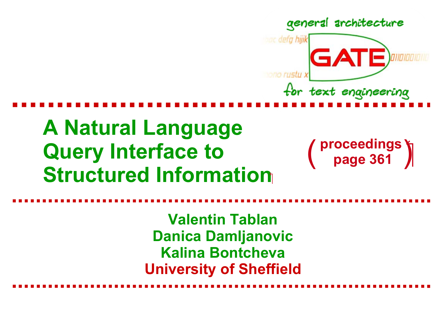

## **A Natural Language Query Interface to Structured Information**

**proceedings** ( ) **page 361**

**Valentin TablanDanica Damljanovic Kalina BontchevaUniversity of Sheffield**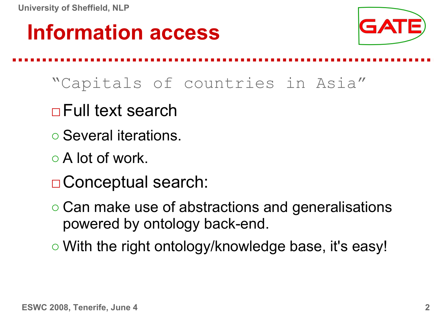## **Information access**



#### "Capitals of countries in Asia"

- □ Full text search
- Several iterations.
- A lot of work.
- □Conceptual search:
- Can make use of abstractions and generalisations powered by ontology back-end.
- With the right ontology/knowledge base, it's easy!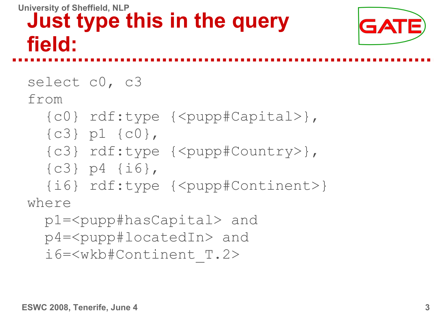#### **University of Sheffield, NLP Just type this in the query field:**



select c0, c3

from

- {c0} rdf:type {<pupp#Capital>},
- {c3} p1 {c0},
- {c3} rdf:type {<pupp#Country>},
- ${c3}$  p4  ${i6}$ ,
- {i6} rdf:type {<pupp#Continent>}

where

```
p1=<pupp#hasCapital> and 
p4=<pupp#locatedIn> and 
i6=<wkb#Continent_T.2>
```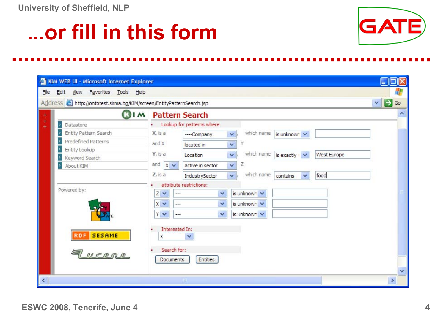## **...or fill in this form**



| KIM WEB UI - Microsoft Internet Explorer<br>L                          |                                |                                                                                                  |                     |  |  |  |  |
|------------------------------------------------------------------------|--------------------------------|--------------------------------------------------------------------------------------------------|---------------------|--|--|--|--|
| File                                                                   | Edit View Favorites Tools Help |                                                                                                  | H                   |  |  |  |  |
| Address in http://ontotest.sirma.bg/KIM/screen/EntityPatternSearch.jsp |                                |                                                                                                  |                     |  |  |  |  |
| $+$                                                                    | <b>BIM</b>                     | <b>Pattern Search</b>                                                                            | $\wedge$            |  |  |  |  |
| $^{+}$<br>$\ddot{}$                                                    | Datastore<br>$\rightarrow$     | Lookup for patterns where                                                                        |                     |  |  |  |  |
|                                                                        | Entity Pattern Search          | X, is a<br>which name<br>is unknown<br>$\checkmark$<br>----Company                               |                     |  |  |  |  |
|                                                                        | Predefined Patterns            | and X<br>Υ<br>×<br>located in                                                                    |                     |  |  |  |  |
|                                                                        | Entity Lookup                  | $Y,$ is a<br>which name<br>$\checkmark$<br>West Europe<br>is exactly $\cdot$ $\cdot$<br>Location |                     |  |  |  |  |
|                                                                        | Keyword Search<br>About KIM    | and<br>$x \vee$<br>Z<br>$\checkmark$<br>active in sector                                         |                     |  |  |  |  |
|                                                                        |                                | $Z$ , is a<br>which name                                                                         |                     |  |  |  |  |
|                                                                        |                                | food<br>contains<br>$\checkmark$<br>IndustrySector<br>$\checkmark$                               |                     |  |  |  |  |
|                                                                        | Powered by:                    | attribute restrictions:<br>is unknown<br>$\checkmark$<br>---                                     | Ξ.                  |  |  |  |  |
|                                                                        |                                | $Z \vee$                                                                                         |                     |  |  |  |  |
|                                                                        |                                | is unknown<br>$x \vee$<br>$\overline{\phantom{a}}$<br>$\checkmark$                               |                     |  |  |  |  |
|                                                                        |                                | YV<br>is unknown<br>$\checkmark$<br>---                                                          |                     |  |  |  |  |
|                                                                        |                                | Interested In:<br>٠                                                                              |                     |  |  |  |  |
|                                                                        | <b>RDF SESAME</b>              | X<br>$\checkmark$                                                                                |                     |  |  |  |  |
|                                                                        |                                |                                                                                                  |                     |  |  |  |  |
|                                                                        | FLUCERE                        | Search for:                                                                                      |                     |  |  |  |  |
|                                                                        |                                | Entities<br>Documents                                                                            |                     |  |  |  |  |
|                                                                        |                                |                                                                                                  | $\ddot{\mathbf{v}}$ |  |  |  |  |
| $\left\langle \right\rangle$<br>×<br>HII.                              |                                |                                                                                                  |                     |  |  |  |  |

**ESWC 2008, Tenerife, June 4**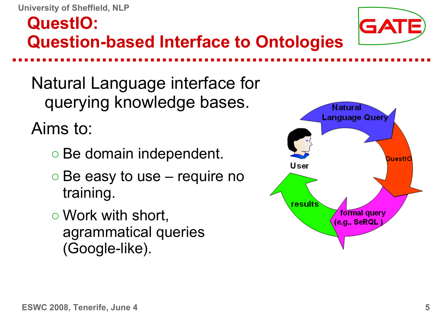**QuestIO: Question-based Interface to Ontologies**



Natural Language interface for querying knowledge bases.

Aims to:

- Be domain independent.
- $\circ$  Be easy to use require no training.
- Work with short, agrammatical queries (Google-like).

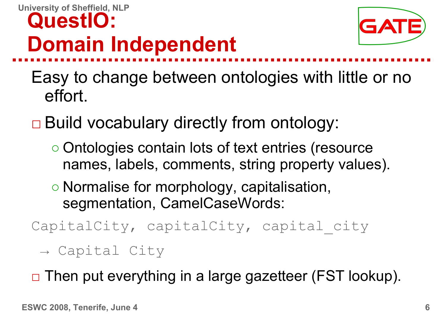

# **Domain Independent**

- Easy to change between ontologies with little or no effort.
- □ Build vocabulary directly from ontology:
	- Ontologies contain lots of text entries (resource names, labels, comments, string property values).
	- Normalise for morphology, capitalisation, segmentation, CamelCaseWords:
- CapitalCity, capitalCity, capital city
	- → Capital City
- □ Then put everything in a large gazetteer (FST lookup).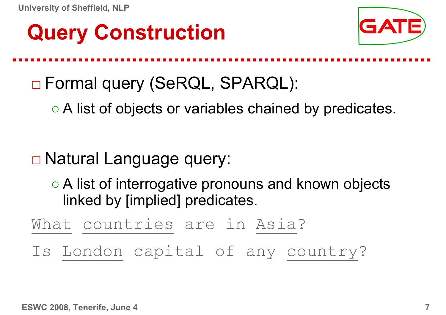## **Query Construction**



## □ Formal query (SeRQL, SPARQL):

○ A list of objects or variables chained by predicates.

#### □ Natural Language query:

○ A list of interrogative pronouns and known objects linked by [implied] predicates.

What countries are in Asia?

Is London capital of any country?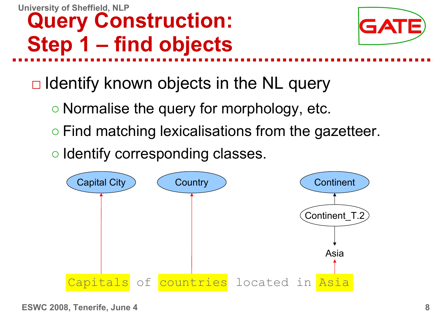## **Query Construction: Step 1 – find objects**



- □ Identify known objects in the NL query
	- Normalise the query for morphology, etc.
	- Find matching lexicalisations from the gazetteer.
	- Identify corresponding classes.

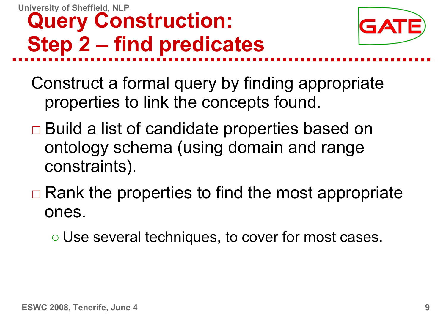## **Query Construction: Step 2 – find predicates**



- Construct a formal query by finding appropriate properties to link the concepts found.
- □ Build a list of candidate properties based on ontology schema (using domain and range constraints).
- $\Box$  Rank the properties to find the most appropriate ones.
	- Use several techniques, to cover for most cases.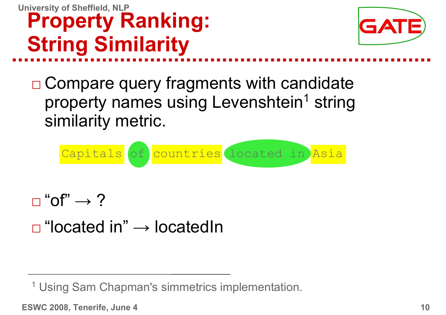#### **University of Sheffield, NLP Property Ranking: String Similarity**



□ Compare query fragments with candidate property names using Levenshtein<sup>1</sup> string similarity metric.



```
\Box "of" \rightarrow ?
```
 $\Box$  "located in"  $\rightarrow$  locatedIn

<sup>1</sup> Using Sam Chapman's simmetrics implementation.

**ESWC 2008, Tenerife, June 4**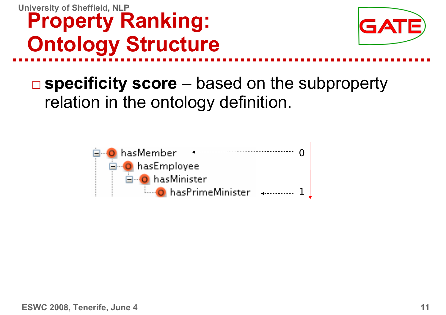**University of Sheffield, NLP Property Ranking: Ontology Structure**



#### □ **specificity score** – based on the subproperty relation in the ontology definition.

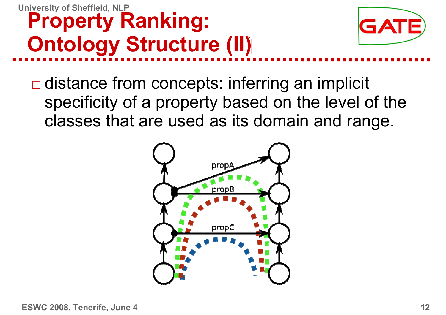#### **University of Sheffield, NLP Property Ranking: Ontology Structure (II)**



□ distance from concepts: inferring an implicit specificity of a property based on the level of the classes that are used as its domain and range.

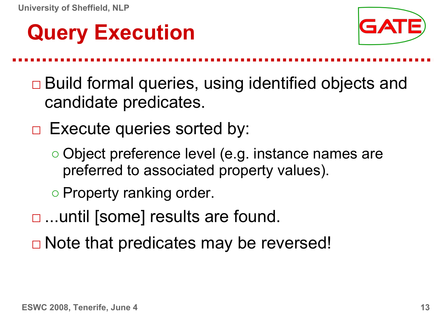## **Query Execution**



- □ Build formal queries, using identified objects and candidate predicates.
- □ Execute queries sorted by:
	- Object preference level (e.g. instance names are preferred to associated property values).
	- Property ranking order.
- □ ..until [some] results are found.
- □ Note that predicates may be reversed!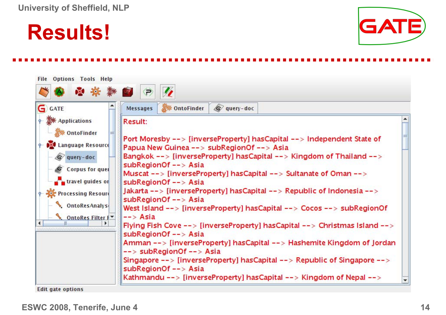### **Results!**



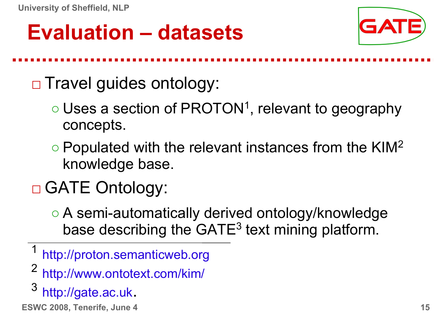## **Evaluation – datasets**



□ Travel guides ontology:

- $\circ$  Uses a section of PROTON<sup>1</sup>, relevant to geography concepts.
- $\circ$  Populated with the relevant instances from the KIM<sup>2</sup> knowledge base.

## □ GATE Ontology:

- A semi-automatically derived ontology/knowledge base describing the GATE<sup>3</sup> text mining platform.
- 1http://proton.semanticweb.org
- 2http://www.ontotext.com/kim/
- 3http://gate.ac.uk.

**ESWC 2008, Tenerife, June 4**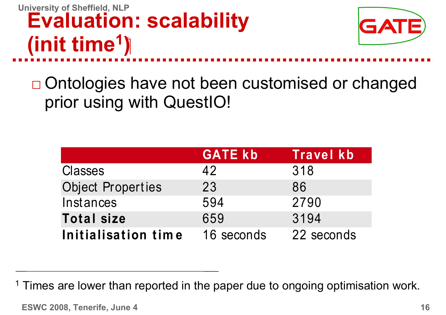#### **University of Sheffield, NLP Evaluation: scalability (init time1)**



□ Ontologies have not been customised or changed prior using with QuestIO!

|                          | <b>GATE kb</b> | <b>Travel kb</b> |
|--------------------------|----------------|------------------|
| <b>Classes</b>           | 42             | 318              |
| <b>Object Properties</b> | 23             | 86               |
| Instances                | 594            | 2790             |
| <b>Total size</b>        | 659            | 3194             |
| Initialisation time      | 16 seconds     | 22 seconds       |

1Times are lower than reported in the paper due to ongoing optimisation work.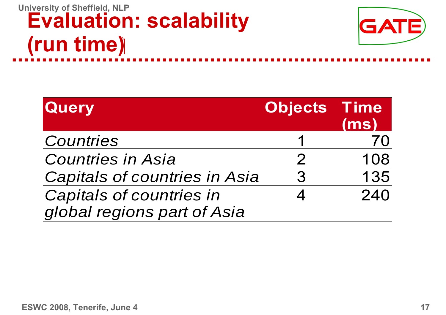#### **University of Sheffield, NLP Evaluation: scalability (run time)**



| <b>Query</b>                         | <b>Objects Time</b> | (ms) |
|--------------------------------------|---------------------|------|
| Countries                            |                     | 70   |
| <b>Countries in Asia</b>             |                     | 108  |
| <b>Capitals of countries in Asia</b> | 3                   | 135  |
| Capitals of countries in             |                     | 240  |
| global regions part of Asia          |                     |      |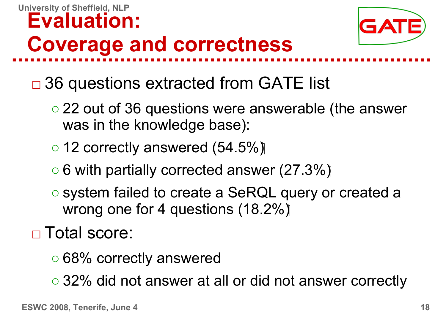

- □ 36 questions extracted from GATE list
	- 22 out of 36 questions were answerable (the answer was in the knowledge base):
	- 12 correctly answered (54.5%)
	- 6 with partially corrected answer (27.3%)
	- system failed to create a SeRQL query or created a wrong one for 4 questions (18.2%)

#### □ Total score:

- 68% correctly answered
- 32% did not answer at all or did not answer correctly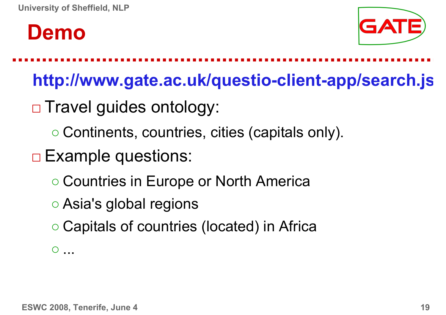



**http://www.gate.ac.uk/questio-client-app/search.js**

- □ Travel guides ontology:
	- Continents, countries, cities (capitals only).
- □ Example questions:
	- Countries in Europe or North America
	- Asia's global regions
	- Capitals of countries (located) in Africa

○ ...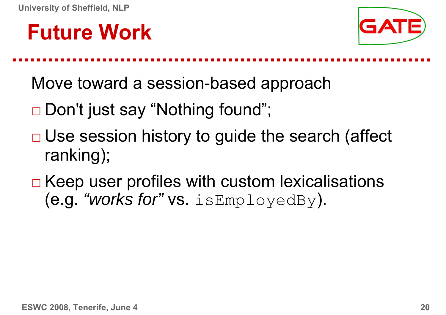## **Future Work**



Move toward a session-based approach

- □ Don't just say "Nothing found";
- □ Use session history to guide the search (affect ranking);
- $\Box$  Keep user profiles with custom lexicalisations (e.g. *"works for"* vs. isEmployedBy).